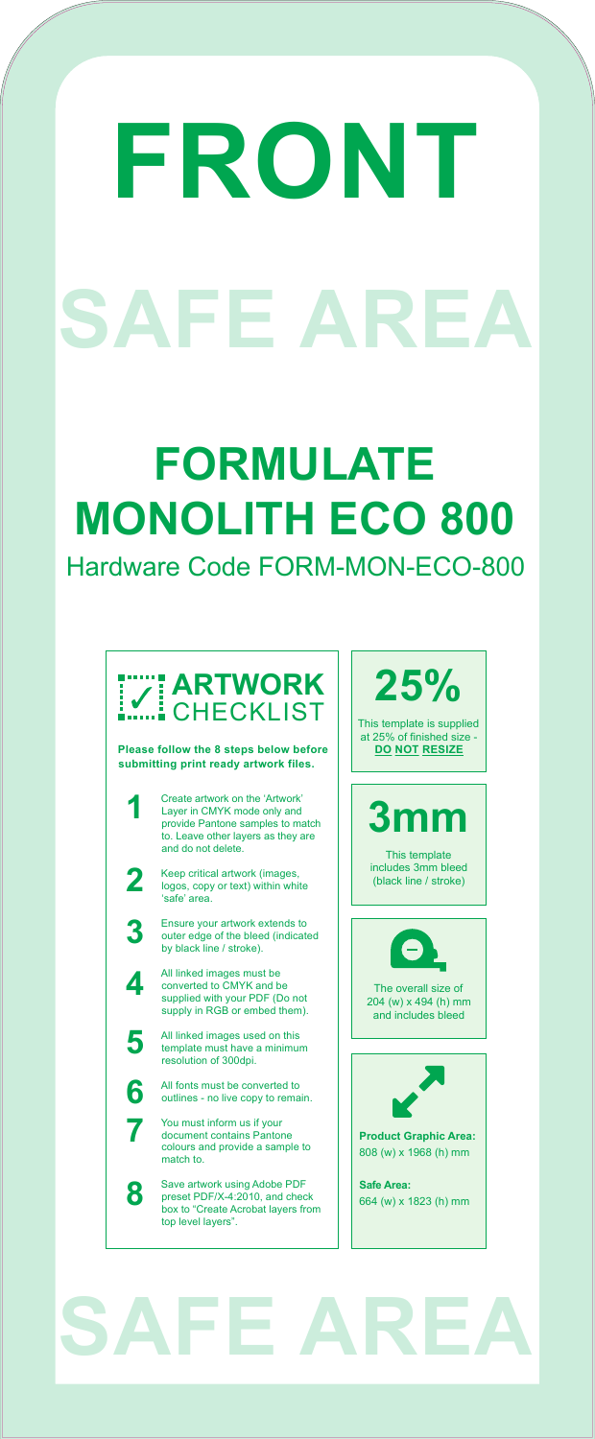#### **FORMULATE MONOLITH ECO 800** Hardware Code FORM-MON-ECO-800

## **SAFE AREA**

**25%** This template is supplied at 25% of finished size -

**DO NOT RESIZE**

**3mm**

This template includes 3mm bleed (black line / stroke)



All linked images must be converted to CMYK and be supplied with your PDF (Do not supply in RGB or embed them).

# **FRONT SAFE AREA**

Ensure your artwork extends to

outer edge of the bleed (indicated by black line / stroke).



All linked images used on this template must have a minimum resolution of 300dpi.

All fonts must be converted to outlines - no live copy to remain.

You must inform us if your document contains Pantone colours and provide a sample to match to.

Save artwork using Adobe PDF preset PDF/X-4:2010, and check box to "Create Acrobat layers from top level layers".

**3**

**4**

**5**

**6**

**7**

**8**